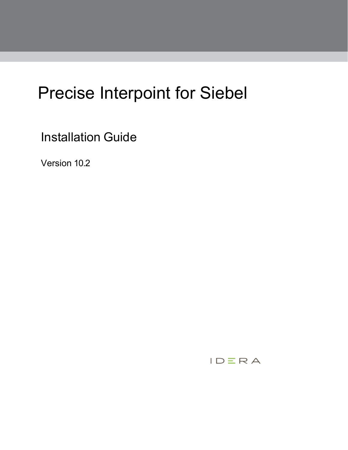# Precise Interpoint for Siebel

Installation Guide

Version 10.2

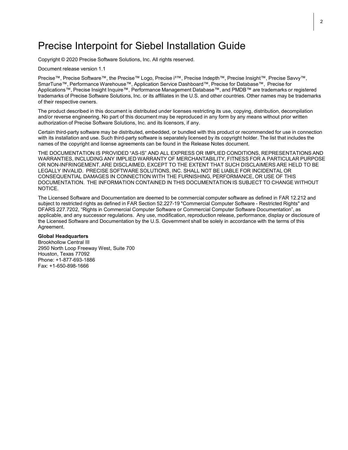## Precise Interpoint for Siebel Installation Guide

Copyright © 2020 Precise Software Solutions, Inc. All rights reserved.

Document release version 1.1

Precise™, Precise Software™, the Precise™ Logo, Precise i<sup>3™</sup>, Precise Indepth™, Precise Insight™, Precise Savvy™, SmarTune™, Performance Warehouse™, Application Service Dashboard™, Precise for Database™, Precise for Applications™, Precise Insight Inquire™, Performance Management Database™, and PMDB™ are trademarks or registered trademarks of Precise Software Solutions, Inc. or its affiliates in the U.S. and other countries. Other names may be trademarks of their respective owners.

The product described in this document is distributed under licenses restricting its use, copying, distribution, decompilation and/or reverse engineering. No part of this document may be reproduced in any form by any means without prior written authorization of Precise Software Solutions, Inc. and its licensors, if any.

Certain third-party software may be distributed, embedded, or bundled with this product or recommended for use in connection with its installation and use. Such third-party software is separately licensed by its copyright holder. The list that includes the names of the copyright and license agreements can be found in the Release Notes document.

THE DOCUMENTATION IS PROVIDED "AS-IS" AND ALL EXPRESS OR IMPLIED CONDITIONS, REPRESENTATIONS AND WARRANTIES, INCLUDING ANY IMPLIED WARRANTY OF MERCHANTABILITY, FITNESS FOR A PARTICULAR PURPOSE OR NON-INFRINGEMENT, ARE DISCLAIMED, EXCEPT TO THE EXTENT THAT SUCH DISCLAIMERS ARE HELD TO BE LEGALLY INVALID. PRECISE SOFTWARE SOLUTIONS, INC. SHALL NOT BE LIABLE FOR INCIDENTAL OR CONSEQUENTIAL DAMAGES IN CONNECTION WITH THE FURNISHING, PERFORMANCE, OR USE OF THIS DOCUMENTATION. THE INFORMATION CONTAINED IN THIS DOCUMENTATION IS SUBJECT TO CHANGE WITHOUT NOTICE.

The Licensed Software and Documentation are deemed to be commercial computer software as defined in FAR 12.212 and subject to restricted rights as defined in FAR Section 52.227-19 "Commercial Computer Software - Restricted Rights" and DFARS 227.7202, "Rights in Commercial Computer Software or Commercial Computer Software Documentation", as applicable, and any successor regulations. Any use, modification, reproduction release, performance, display or disclosure of the Licensed Software and Documentation by the U.S. Government shall be solely in accordance with the terms of this Agreement.

#### **Global Headquarters**

Brookhollow Central III 2950 North Loop Freeway West, Suite 700 Houston, Texas 77092 Phone: +1-877-693-1886 Fax: +1-650-898-1666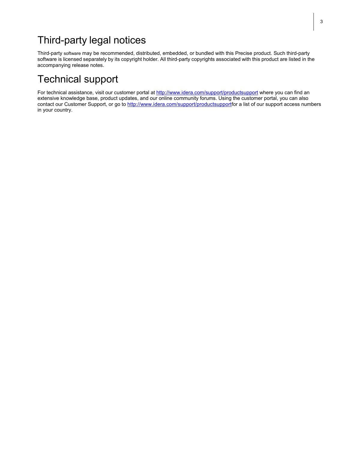# Third-party legal notices

Third-party software may be recommended, distributed, embedded, or bundled with this Precise product. Such third-party software is licensed separately by its copyright holder. All third-party copyrights associated with this product are listed in the accompanying release notes.

# Technical support

For technical assistance, visit our customer portal at<http://www.idera.com/support/productsupport> where you can find an extensive knowledge base, product updates, and our online community forums. Using the customer portal, you can also contact our Customer Support, or go to [http://www.idera.com/support/productsupportf](http://www.idera.com/support/productsupport)or a list of our support access numbers in your country.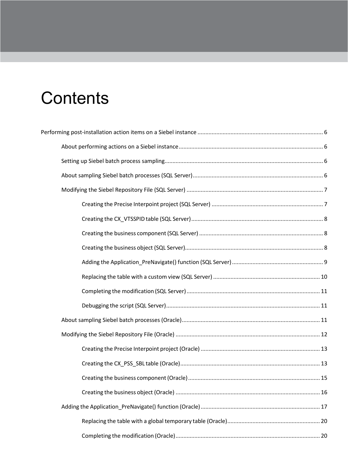# **Contents**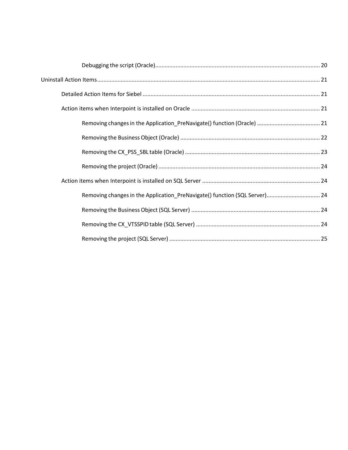| Removing changes in the Application_PreNavigate() function (SQL Server) 24 |  |
|----------------------------------------------------------------------------|--|
|                                                                            |  |
|                                                                            |  |
|                                                                            |  |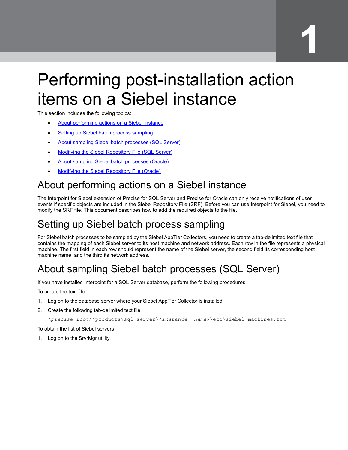# <span id="page-5-0"></span>Performing post-installation action items on a Siebel instance

This section includes the following topics:

- [About performing actions on a Siebel instance](#page-5-1)
- **[Setting up Siebel batch process sampling](#page-5-2)**
- [About sampling Siebel batch processes \(SQL Server\)](#page-5-3)
- Modifying [the Siebel Repository File \(SQL Server\)](#page-6-0)
- [About sampling Siebel batch processes \(Oracle\)](#page-10-2)
- Modifying [the Siebel Repository File \(Oracle\)](#page-11-0)

# <span id="page-5-1"></span>About performing actions on a Siebel instance

The Interpoint for Siebel extension of Precise for SQL Server and Precise for Oracle can only receive notifications of user events if specific objects are included in the Siebel Repository File (SRF). Before you can use Interpoint for Siebel, you need to modify the SRF file. This document describes how to add the required objects to the file.

# <span id="page-5-2"></span>Setting up Siebel batch process sampling

For Siebel batch processes to be sampled by the Siebel AppTier Collectors, you need to create a tab-delimited text file that contains the mapping of each Siebel server to its host machine and network address. Each row in the file represents a physical machine. The first field in each row should represent the name of the Siebel server, the second field its corresponding host machine name, and the third its network address.

# <span id="page-5-3"></span>About sampling Siebel batch processes (SQL Server)

If you have installed Interpoint for a SQL Server database, perform the following procedures.

To create the text file

- 1. Log on to the database server where your Siebel AppTier Collector is installed.
- 2. Create the following tab-delimited text file:

```
<precise_root>\products\sql-server\<instance_ name>\etc\siebel_machines.txt
```
To obtain the list of Siebel servers

1. Log on to the SrvrMgr utility.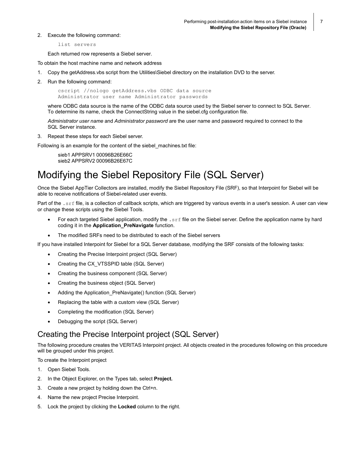2. Execute the following command:

```
list servers
```
Each returned row represents a Siebel server.

To obtain the host machine name and network address

- 1. Copy the getAddress.vbs script from the Utilities\Siebel directory on the installation DVD to the server.
- 2. Run the following command:

cscript //nologo getAddress.vbs ODBC data source Administrator user name Administrator passwords

where ODBC data source is the name of the ODBC data source used by the Siebel server to connect to SQL Server. To determine its name, check the ConnectString value in the siebel.cfg configuration file.

*Administrator user name* and *Administrator password* are the user name and password required to connect to the SQL Server instance.

3. Repeat these steps for each Siebel server.

Following is an example for the content of the siebel\_machines.txt file:

sieb1 APPSRV1 00096B26E66C sieb2 APPSRV2 00096B26E67C

# <span id="page-6-0"></span>Modifying the Siebel Repository File (SQL Server)

Once the Siebel AppTier Collectors are installed, modify the Siebel Repository File (SRF), so that Interpoint for Siebel will be able to receive notifications of Siebel-related user events.

Part of the . srf file, is a collection of callback scripts, which are triggered by various events in a user's session. A user can view or change these scripts using the Siebel Tools.

- For each targeted Siebel application, modify the  $.$  srf file on the Siebel server. Define the application name by hard coding it in the **Application\_PreNavigate** function.
- The modified SRFs need to be distributed to each of the Siebel servers

If you have installed Interpoint for Siebel for a SQL Server database, modifying the SRF consists of the following tasks:

- Creating the Precise Interpoint project (SQL Server)
- Creating the CX VTSSPID table (SQL Server)
- Creating the business component (SQL Server)
- Creating the business object (SQL Server)
- Adding the Application\_PreNavigate() function (SQL Server)
- Replacing the table with a custom view (SQL Server)
- Completing the modification (SQL Server)
- Debugging the script (SQL Server)

#### <span id="page-6-1"></span>Creating the Precise Interpoint project (SQL Server)

The following procedure creates the VERITAS Interpoint project. All objects created in the procedures following on this procedure will be grouped under this project.

To create the Interpoint project

- 1. Open Siebel Tools.
- 2. In the Object Explorer, on the Types tab, select **Project.**
- 3. Create a new project by holding down the Ctrl+n.
- 4. Name the new project Precise Interpoint.
- 5. Lock the project by clicking the **Locked** column to the right.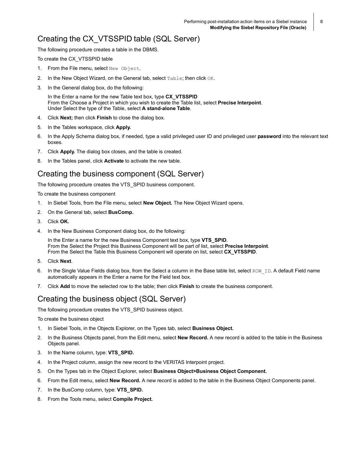### <span id="page-7-0"></span>Creating the CX\_VTSSPID table (SQL Server)

The following procedure creates a table in the DBMS.

To create the CX\_VTSSPID table

- 1. From the File menu, select New Object.
- 2. In the New Object Wizard, on the General tab, select Table; then click OK.
- 3. In the General dialog box, do the following:

In the Enter a name for the new Table text box, type **CX\_VTSSPID** From the Choose a Project in which you wish to create the Table list, select **Precise Interpoint**. Under Select the type of the Table, select **A stand-alone Table**.

- 4. Click **Next;** then click **Finish** to close the dialog box.
- 5. In the Tables workspace, click **Apply.**
- 6. In the Apply Schema dialog box, if needed, type a valid privileged user ID and privileged user **password** into the relevant text boxes.
- 7. Click **Apply.** The dialog box closes, and the table is created.
- 8. In the Tables panel, click **Activate** to activate the new table.

#### <span id="page-7-1"></span>Creating the business component (SQL Server)

The following procedure creates the VTS\_SPID business component.

To create the business component

- 1. In Siebel Tools, from the File menu, select **New Object.** The New Object Wizard opens.
- 2. On the General tab, select **BusComp.**
- 3. Click **OK.**
- 4. In the New Business Component dialog box, do the following:

In the Enter a name for the new Business Component text box, type **VTS\_SPID**. From the Select the Project this Business Component will be part of list, select **Precise Interpoint**. From the Select the Table this Business Component will operate on list, select **CX\_VTSSPID**.

- 5. Click **Next**.
- 6. In the Single Value Fields dialog box, from the Select a column in the Base table list, select ROW ID. A default Field name automatically appears in the Enter a name for the Field text box.
- 7. Click **Add** to move the selected row to the table; then click **Finish** to create the business component.

### <span id="page-7-2"></span>Creating the business object (SQL Server)

The following procedure creates the VTS\_SPID business object.

To create the business object

- 1. In Siebel Tools, in the Objects Explorer, on the Types tab, select **Business Object.**
- 2. In the Business Objects panel, from the Edit menu, select **New Record.** A new record is added to the table in the Business Objects panel.
- 3. In the Name column, type: **VTS\_SPID.**
- 4. In the Project column, assign the new record to the VERITAS Interpoint project.
- 5. On the Types tab in the Object Explorer, select **Business Object>Business Object Component.**
- 6. From the Edit menu, select **New Record.** A new record is added to the table in the Business Object Components panel.
- 7. In the BusComp column, type: **VTS\_SPID.**
- 8. From the Tools menu, select **Compile Project.**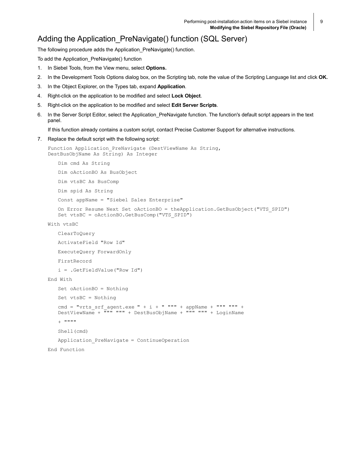### <span id="page-8-0"></span>Adding the Application PreNavigate() function (SQL Server)

The following procedure adds the Application\_PreNavigate() function.

To add the Application\_PreNavigate() function

- 1. In Siebel Tools, from the View menu, select **Options.**
- 2. In the Development Tools Options dialog box, on the Scripting tab, note the value of the Scripting Language list and click **OK.**
- 3. In the Object Explorer, on the Types tab, expand **Application**.
- 4. Right-click on the application to be modified and select **Lock Object**.
- 5. Right-click on the application to be modified and select **Edit Server Scripts**.
- 6. In the Server Script Editor, select the Application PreNavigate function. The function's default script appears in the text panel.

If this function already contains a custom script, contact Precise Customer Support for alternative instructions.

#### 7. Replace the default script with the following script:

```
Function Application PreNavigate (DestViewName As String,
DestBusObjName As String) As Integer
```

```
Dim cmd As String
Dim oActionBO As BusObject
Dim vtsBC As BusComp
Dim spid As String
Const appName = "Siebel Sales Enterprise"
```

```
On Error Resume Next Set oActionBO = theApplication.GetBusObject("VTS_SPID") 
Set vtsBC = oActionBO.GetBusComp("VTS_SPID")
```

```
With vtsBC
```

```
ClearToQuery 
   ActivateField "Row Id" 
   ExecuteQuery ForwardOnly 
   FirstRecord
   i = .GetFieldValue("Row Id") 
End With
   Set oActionBO = Nothing
   Set vtsBC = Nothing
   cmd = "vrts_srf_agent.exe " + i + " """ + appName + """ """ +
   DestViewName + """ """ + DestBusObjName + """ """ + LoginName
   + """""
   Shell(cmd)
   Application_PreNavigate = ContinueOperation
```
End Function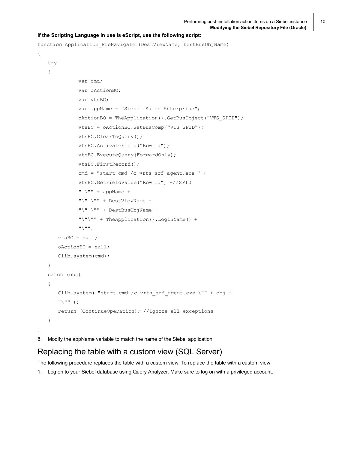#### **If the Scripting Language in use is eScript, use the following script:**

```
function Application PreNavigate (DestViewName, DestBusObjName)
{
   try
   {
              var cmd;
              var oActionBO;
              var vtsBC;
              var appName = "Siebel Sales Enterprise";
              oActionBO = TheApplication().GetBusObject("VTS_SPID"); 
              vtsBC = oActionBO.GetBusComp("VTS_SPID"); 
              vtsBC.ClearToQuery();
              vtsBC.ActivateField("Row Id");
              vtsBC.ExecuteQuery(ForwardOnly);
              vtsBC.FirstRecord();
              cmd = "start cmd /c vrts_srf_agent.exe " +
              vtsBC.GetFieldValue("Row Id") +//SPID 
              " \ \ \n\vee" " " + appName +"\" \"" + DestViewName +
              "\" \"" + DestBusObjName +
              "\"\"" + TheApplication().LoginName() + 
              "'\"";
       vtsBC = null;oActionBO = null; 
       Clib.system(cmd);
   }
   catch (obj)
   {
       Clib.system( "start cmd /c vrts_srf_agent.exe \"" + obj + 
       "\"" );
       return (ContinueOperation); //Ignore all exceptions
   }
}
```
8. Modify the appName variable to match the name of the Siebel application.

#### <span id="page-9-0"></span>Replacing the table with a custom view (SQL Server)

The following procedure replaces the table with a custom view. To replace the table with a custom view

1. Log on to your Siebel database using Query Analyzer. Make sure to log on with a privileged account.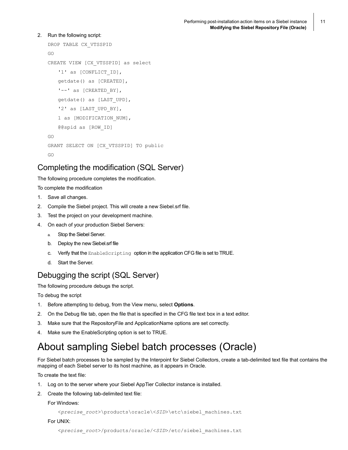#### 2. Run the following script:

```
DROP TABLE CX_VTSSPID 
GO
CREATE VIEW [CX_VTSSPID] as select
   '1' as [CONFLICT ID],
   getdate() as [CREATED],
   '--' as [CREATED_BY], 
   getdate() as [LAST_UPD],
   '2' as [LAST UPD BY],
   1 as [MODIFICATION NUM],
   @@spid as [ROW_ID]
GO
GRANT SELECT ON [CX_VTSSPID] TO public
GO
```
### <span id="page-10-0"></span>Completing the modification (SQL Server)

The following procedure completes the modification.

To complete the modification

- 1. Save all changes.
- 2. Compile the Siebel project. This will create a new Siebel.srf file.
- 3. Test the project on your development machine.
- 4. On each of your production Siebel Servers:
	- a. Stop the Siebel Server.
	- b. Deploy the new Siebel.srf file
	- c. Verify that the EnableScripting option in the application CFG file is set to TRUE.
	- d. Start the Server.

### <span id="page-10-1"></span>Debugging the script (SQL Server)

The following procedure debugs the script.

To debug the script

- 1. Before attempting to debug, from the View menu, select **Options**.
- 2. On the Debug file tab, open the file that is specified in the CFG file text box in a text editor.
- 3. Make sure that the RepositoryFile and ApplicationName options are set correctly.
- 4. Make sure the EnableScripting option is set to TRUE.

# <span id="page-10-2"></span>About sampling Siebel batch processes (Oracle)

For Siebel batch processes to be sampled by the Interpoint for Siebel Collectors, create a tab-delimited text file that contains the mapping of each Siebel server to its host machine, as it appears in Oracle.

To create the text file:

- 1. Log on to the server where your Siebel AppTier Collector instance is installed.
- 2. Create the following tab-delimited text file:

#### For Windows:

<*precise\_root*>\products\oracle\<*SID*>\etc\siebel\_machines.txt

For UNIX: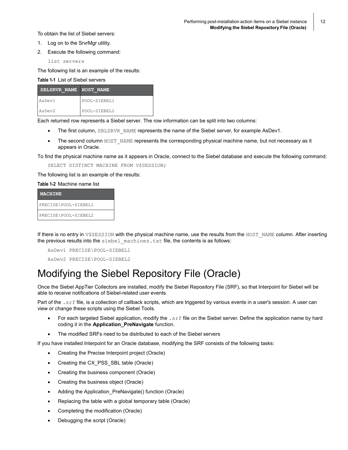To obtain the list of Siebel servers:

- 1. Log on to the SrvrMgr utility.
- 2. Execute the following command:

list servers

The following list is an example of the results:

#### **Table 1-1** List of Siebel servers

| SBLSRVR NAME HOST NAME |              |
|------------------------|--------------|
| AsDev1                 | POOL-SIEBEL1 |
| AsDev <sub>2</sub>     | POOL-SIEBEL2 |

Each returned row represents a Siebel server. The row information can be split into two columns:

- The first column, SBLSRVR\_NAME represents the name of the Siebel server, for example AsDev1.
- The second column HOST\_NAME represents the corresponding physical machine name, but not necessary as it appears in Oracle.

To find the physical machine name as it appears in Oracle, connect to the Siebel database and execute the following command:

SELECT DISTINCT MACHINE FROM V\$SESSION;

The following list is an example of the results:

#### **Table 1-2** Machine name list

| <b>MACHINE</b>       |
|----------------------|
| PRECISE\POOL-SIEBEL1 |
| PRECISE\POOL-SIEBEL2 |

If there is no entry in V\$SESSION with the physical machine name, use the results from the HOST\_NAME column. After inserting the previous results into the siebel machines.txt file, the contents is as follows:

AsDev1 PRECISE\POOL-SIEBEL1 AsDev2 PRECISE\POOL-SIEBEL2

# <span id="page-11-0"></span>Modifying the Siebel Repository File (Oracle)

Once the Siebel AppTier Collectors are installed, modify the Siebel Repository File (SRF), so that Interpoint for Siebel will be able to receive notifications of Siebel-related user events.

Part of the . srf file, is a collection of callback scripts, which are triggered by various events in a user's session. A user can view or change these scripts using the Siebel Tools.

- For each targeted Siebel application, modify the .srf file on the Siebel server. Define the application name by hard coding it in the **Application\_PreNavigate** function.
- The modified SRFs need to be distributed to each of the Siebel servers

If you have installed Interpoint for an Oracle database, modifying the SRF consists of the following tasks:

- Creating the Precise Interpoint project (Oracle)
- Creating the CX\_PSS\_SBL table (Oracle)
- Creating the business component (Oracle)
- Creating the business object (Oracle)
- Adding the Application PreNavigate() function (Oracle)
- Replacing the table with a global temporary table (Oracle)
- Completing the modification (Oracle)
- Debugging the script (Oracle)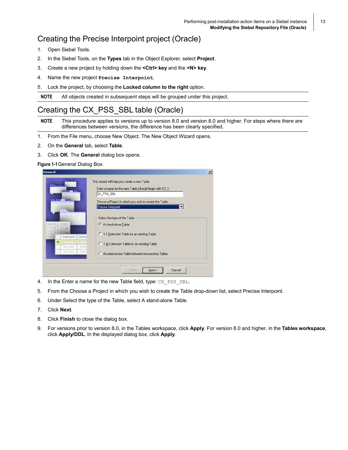### <span id="page-12-0"></span>Creating the Precise Interpoint project (Oracle)

- 1. Open Siebel Tools.
- 2. In the Siebel Tools, on the **Types** tab in the Object Explorer, select **Project**.
- 3. Create a new project by holding down the **<Ctrl> key** and the **<N> key**.
- 4. Name the new project **Precise Interpoint**.
- 5. Lock the project, by choosing the **Locked column to the right** option.

**NOTE** All objects created in subsequent steps will be grouped under this project.

### <span id="page-12-1"></span>Creating the CX\_PSS\_SBL table (Oracle)

**NOTE** This procedure applies to versions up to version 8.0 and version 8.0 and higher. For steps where there are differences between versions, the difference has been clearly specified.

- 1. From the File menu, choose New Object. The New Object Wizard opens.
- 2. On the **General** tab, select **Table**.
- 3. Click **OK**. The **General** dialog box opens.

#### **Figure 1-1**General Dialog Box

|                  | This wizard will help you create a new Table.           |  |
|------------------|---------------------------------------------------------|--|
|                  | Enter a name for the new Table (should begin with CX )  |  |
|                  | CX_PSS_SBL                                              |  |
|                  | Choose a Project in which you wish to create the Table. |  |
|                  | Precise Interpoint                                      |  |
|                  | Select the type of the Table                            |  |
|                  | A stand-alone Table                                     |  |
|                  | C 1:1 Extension Table for an existing Table             |  |
| aktata obtivnina | C 1:M Extension Table for an existing Table             |  |
|                  | C An intersection Table between two existing Tables     |  |
|                  |                                                         |  |

- 4. In the Enter a name for the new Table field, type: CX PSS SBL.
- 5. From the Choose a Project in which you wish to create the Table drop-down list, select Precise Interpoint.
- 6. Under Select the type of the Table, select A stand-alone Table.
- 7. Click **Next**.
- 8. Click **Finish** to close the dialog box.
- 9. For versions prior to version 8.0, in the Tables workspace, click **Apply**. For version 8.0 and higher, in the **Tables workspace**, click **Apply/DDL**. In the displayed dialog box, click **Apply**.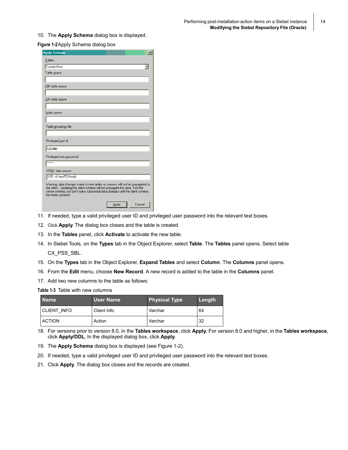10. The **Apply Schema** dialog box is displayed.

#### **Figure 1-2**Apply Schema dialog box

| <b>Apply Schema</b><br>$\times$                                                                                                                                                                                                                                       |
|-----------------------------------------------------------------------------------------------------------------------------------------------------------------------------------------------------------------------------------------------------------------------|
| Tables:                                                                                                                                                                                                                                                               |
| Current Row                                                                                                                                                                                                                                                           |
| Table space:                                                                                                                                                                                                                                                          |
|                                                                                                                                                                                                                                                                       |
| 16K table space:                                                                                                                                                                                                                                                      |
|                                                                                                                                                                                                                                                                       |
| 32K table space:                                                                                                                                                                                                                                                      |
|                                                                                                                                                                                                                                                                       |
| Index space:                                                                                                                                                                                                                                                          |
|                                                                                                                                                                                                                                                                       |
| Table groupings file:                                                                                                                                                                                                                                                 |
|                                                                                                                                                                                                                                                                       |
| Privileged user id                                                                                                                                                                                                                                                    |
| SADMIN                                                                                                                                                                                                                                                                |
| Privileged user password:                                                                                                                                                                                                                                             |
| <b>XXXXXX</b>                                                                                                                                                                                                                                                         |
| ODBC data source:                                                                                                                                                                                                                                                     |
| SSD d:/sea752/tools                                                                                                                                                                                                                                                   |
| Warning: data changes made to new tables or columns will not be propagated to<br>the client. Updating the client schema will not propagate this data. Test the<br>server schema, but don't make substantial data changes until the client schema<br>has been updated. |
| Cancel<br>Apply                                                                                                                                                                                                                                                       |

- 11. If needed, type a valid privileged user ID and privileged user password into the relevant text boxes.
- 12. Click **Apply**. The dialog box closes and the table is created.
- 13. In the **Tables** panel, click **Activate** to activate the new table.
- 14. In Siebel Tools, on the **Types** tab in the Object Explorer, select **Table**. The **Tables** panel opens. Select table CX\_PSS\_SBL.
- 15. On the **Types** tab in the Object Explorer, **Expand Tables** and select **Column**. The **Columns** panel opens.
- 16. From the **Edit** menu, choose **New Record**. A new record is added to the table in the **Columns** panel.
- 17. Add two new columns to the table as follows:

**Table 1-3** Table with new columns

| <b>Name</b>   | User Name   | <b>Physical Type</b> | Length |  |
|---------------|-------------|----------------------|--------|--|
| CLIENT INFO   | Client Info | Varchar              | 64     |  |
| <b>ACTION</b> | Action      | Varchar              | 32     |  |

18. For versions prior to version 8.0, in the **Tables workspace**, click **Apply**. For version 8.0 and higher, in the **Tables workspace**, click **Apply/DDL**. In the displayed dialog box, click **Apply**.

19. The **Apply Schema** dialog box is displayed (see Figure 1-2).

- 20. If needed, type a valid privileged user ID and privileged user password into the relevant text boxes.
- 21. Click **Apply**. The dialog box closes and the records are created.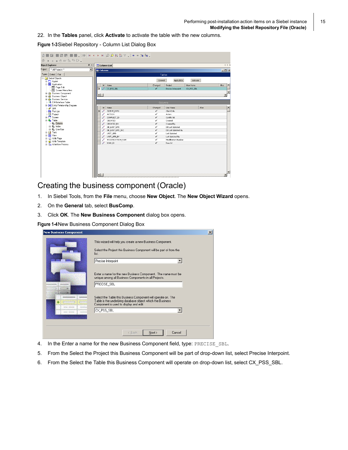22. In the **Tables** panel, click **Activate** to activate the table with the new columns.

**Figure 1-3**Siebel Repository - Column List Dialog Box

| $\mathcal{B} \rightarrow \mathbb{R} \rightarrow \mathbb{R} \rightarrow \mathbb{R} \rightarrow \mathbb{R} \rightarrow \mathbb{R}$ |                               |                   |                     |            |       |  |
|----------------------------------------------------------------------------------------------------------------------------------|-------------------------------|-------------------|---------------------|------------|-------|--|
| $4 \times$<br>4 P X<br><b>Jbject Explorer</b><br>Column List                                                                     |                               |                   |                     |            |       |  |
| <sup>124</sup> All Projects <sup>206</sup><br>$\overline{\phantom{a}}$<br>Project:                                               | Columns                       | $\Box$ D $\times$ |                     |            |       |  |
| Detail Flat<br>Types                                                                                                             |                               | Tables            |                     |            |       |  |
| G Siebel Objects                                                                                                                 |                               |                   |                     |            |       |  |
| <b>E-</b> Applet                                                                                                                 |                               | Extend            | Apply/DDL           | Activate   |       |  |
| 白图 Application                                                                                                                   | W.<br>Name                    | Changed           | Project             | User Name  | Alias |  |
| 圖 Page Tab                                                                                                                       | CX_PSS_SBL<br>$\rightarrow$   | v                 | Precise Interpoint  | CX PSS SBL |       |  |
| ---- Screen Menu Item<br>由 & Business Component                                                                                  |                               |                   |                     |            |       |  |
| 由-@ Business Object                                                                                                              | $\left  \cdot \right $        |                   |                     |            |       |  |
| <b>El-Co</b> Business Service                                                                                                    |                               |                   |                     |            |       |  |
| <b>Ref</b> EIM Interface Table                                                                                                   |                               | Columns           |                     |            |       |  |
| E-PI Entity Relationship Diagram                                                                                                 |                               |                   |                     |            |       |  |
| $\mathscr{N}$ Link                                                                                                               | w<br>Name                     | Changed           | User Name           |            | Alias |  |
| <b>Fig.</b> Pick List                                                                                                            | I<br>CLIENT INFO<br>$\lambda$ | v                 | Client Info         |            |       |  |
| <sup>o</sup> Project                                                                                                             | <b>ACTION</b>                 | v                 | Action              |            |       |  |
| E-T Screen                                                                                                                       | CONFLICT_ID                   | v                 | Conflict Id         |            |       |  |
| <b>E-S</b> Table                                                                                                                 | CREATED                       | v                 | Created             |            |       |  |
| $\leftarrow \mathbb{E}_{\mathbb{H}}$ Column                                                                                      | <b>CREATED BY</b>             | v                 | Created By          |            |       |  |
| 由·酯 Index                                                                                                                        | DB_LAST_UPD                   | v                 | DB Last Updated     |            |       |  |
| 由 图 User Key                                                                                                                     | DB_LAST_UPD_SRC               | v                 | DB Last Updated By  |            |       |  |
| <b>E-R</b> Task                                                                                                                  | LAST UPD                      | v                 | <b>Last Updated</b> |            |       |  |
| <b>E-RE</b> View                                                                                                                 | LAST_UPD_BY                   | v                 | Last Updated By     |            |       |  |
| E-will Web Page<br>in-wh Web Template                                                                                            | MODIFICATION NUM              | v                 | Modification Number |            |       |  |
| 由-Za Workflow Process                                                                                                            | ROW ID                        | $\checkmark$      | Row Id              |            |       |  |
|                                                                                                                                  |                               |                   |                     |            |       |  |

#### <span id="page-14-0"></span>Creating the business component (Oracle)

- 1. In Siebel Tools, from the **File** menu, choose **New Object**. The **New Object Wizard** opens.
- 2. On the **General** tab, select **BusComp**.
- 3. Click **OK**. The **New Business Component** dialog box opens.

**Figure 1-4**New Business Component Dialog Box

| <b>New Business Component</b> |                                                                                                                                                                       | $\times$ |
|-------------------------------|-----------------------------------------------------------------------------------------------------------------------------------------------------------------------|----------|
|                               | This wizard will help you create a new Business Component.<br>Select the Project this Business Component will be part of from the<br>list.                            |          |
|                               | Precise Interpoint<br>$\overline{\phantom{a}}$                                                                                                                        |          |
|                               | Enter a name for the new Business Component. The name must be<br>unique among all Business Components in all Projects.<br>PRECISE_SBL                                 |          |
| <b>STAL ORDER</b>             | Select the Table this Business Component will operate on. The<br>Table is the underlying database object which the Business<br>Component is used to display and edit. |          |
| Anti- Romaniel                | CX_PSS_SBL                                                                                                                                                            |          |
|                               |                                                                                                                                                                       |          |
|                               | < Back<br>Next<br>Cancel                                                                                                                                              |          |

- 4. In the Enter a name for the new Business Component field, type: PRECISE\_SBL.
- 5. From the Select the Project this Business Component will be part of drop-down list, select Precise Interpoint.
- 6. From the Select the Table this Business Component will operate on drop-down list, select CX\_PSS\_SBL.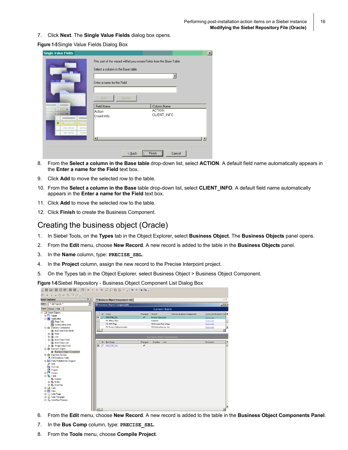7. Click **Next**. The **Single Value Fields** dialog box opens.

**Figure 1-5**Single Value Fields Dialog Box

| <b>Single Value Fields</b> |                                     |                                                                         | 区              |
|----------------------------|-------------------------------------|-------------------------------------------------------------------------|----------------|
|                            | Select a column in the Base table   | This part of the wizard will let you create Fields from the Base Table. |                |
|                            | Enter a name for the Field          | ▾                                                                       |                |
|                            | <b>Add</b><br>Delete                |                                                                         |                |
|                            | Field Name<br>Action<br>Client Info | Column Name<br><b>ACTION</b><br>CLIENT_INFO                             |                |
| <b>JANUARY MUSICARE</b>    |                                     |                                                                         |                |
| MLDHH                      | ᠯ                                   |                                                                         | $\blacksquare$ |
|                            | $\leq$ Back                         | Finish<br>Cancel<br>                                                    |                |

- 8. From the **Select a column in the Base table** drop-down list, select **ACTION**. A default field name automatically appears in the **Enter a name for the Field** text box.
- 9. Click **Add** to move the selected row to the table.
- 10. From the **Select a column in the Base** table drop-down list, select **CLIENT\_INFO**. A default field name automatically appears in the **Enter a name for the Field** text box.
- 11. Click **Add** to move the selected row to the table.
- 12. Click **Finish** to create the Business Component.

#### <span id="page-15-0"></span>Creating the business object (Oracle)

- 1. In Siebel Tools, on the **Types** tab in the Object Explorer, select **Business Object**. The **Business Objects** panel opens.
- 2. From the **Edit** menu, choose **New Record**. A new record is added to the table in the **Business Objects** panel.
- 3. In the **Name** column, type: **PRECISE\_SBL**.
- 4. In the **Project** column, assign the new record to the Precise Interpoint project.
- 5. On the Types tab in the Object Explorer, select Business Object > Business Object Component.

**Figure 1-6**Siebel Repository - Business Object Component List Dialog Box

| $\blacksquare$ $\blacksquare$ $\blacksquare$ $\blacksquare$ $\blacksquare$ $\blacksquare$<br>Š. |                |                                       |              |                                   |                            |                         |    |
|-------------------------------------------------------------------------------------------------|----------------|---------------------------------------|--------------|-----------------------------------|----------------------------|-------------------------|----|
| $4 \times$<br>bject Explorer                                                                    |                | <b>Business Object Component List</b> |              |                                   |                            |                         | 4P |
| $\overline{\phantom{a}}$<br>** All Projects **<br>roject:                                       |                | <b>Business Object Components</b>     |              |                                   |                            | <b>コロ×</b>              |    |
| Types Detail Flat                                                                               |                |                                       |              | <b>Business Objects</b>           |                            |                         |    |
| <b>E-</b> Siebel Objects                                                                        | w              | Name                                  | Changed      | Project                           | Primary Business Component | Query List Business Com |    |
| <b>E-C</b> Applet                                                                               | $\lambda$      | PRECISE_SBL                           | v            | Precise Interpoint                |                            | Query List              |    |
| 白 <b>图 Application</b>                                                                          |                | PS Billing Class                      |              |                                   |                            |                         |    |
| 图 Page Tab                                                                                      |                | PS MPP Map                            |              | Expense<br>PS Project Plan Integr |                            | Query List              |    |
| 图 Screen Menu Item                                                                              |                |                                       |              |                                   |                            | Query List              |    |
| 白心 Business Component                                                                           |                | PS Project Subcontractor              |              | PS Subcontractor Ass              |                            | Query List              |    |
| BusComp View Mode                                                                               |                |                                       |              |                                   |                            |                         |    |
| 由 高 Field                                                                                       |                |                                       |              |                                   |                            |                         |    |
| 由 & Join                                                                                        |                |                                       |              | <b>Business Object Components</b> |                            |                         |    |
| 由-高 Multi Value Field                                                                           | w              | <b>Bus Comp</b>                       | Changed      | Inactive<br>Link                  |                            | Comments                |    |
| Multi Value Link                                                                                |                |                                       | $\checkmark$ |                                   |                            |                         |    |
| 由-@ Single Value Field                                                                          | $\mathcal{L}$  | PRECISE SBL                           |              |                                   |                            |                         |    |
| 白·@ Business Object                                                                             |                |                                       |              |                                   |                            |                         |    |
| Business Object Component                                                                       |                |                                       |              |                                   |                            |                         |    |
| <b>Fi-Sa Business Service</b>                                                                   |                |                                       |              |                                   |                            |                         |    |
| <b>N</b> EIM Interface Table                                                                    |                |                                       |              |                                   |                            |                         |    |
| <b>E-D-</b> Entity Relationship Diagram                                                         |                |                                       |              |                                   |                            |                         |    |
| $\mathscr{N}$ Link                                                                              |                |                                       |              |                                   |                            |                         |    |
| <b>R</b> Pick List                                                                              |                |                                       |              |                                   |                            |                         |    |
| <b>Pall</b> Project                                                                             |                |                                       |              |                                   |                            |                         |    |
| E- <sup>1</sup> Screen                                                                          |                |                                       |              |                                   |                            |                         |    |
| <b>E</b> Table                                                                                  |                |                                       |              |                                   |                            |                         |    |
| - <sub>Sit</sub> Column                                                                         |                |                                       |              |                                   |                            |                         |    |
| 由·图 Index                                                                                       |                |                                       |              |                                   |                            |                         |    |
| 由·酯 User Key                                                                                    |                |                                       |              |                                   |                            |                         |    |
| <b>E</b> - <b>D</b> Task                                                                        |                |                                       |              |                                   |                            |                         |    |
| <b>E-RE</b> View                                                                                |                |                                       |              |                                   |                            |                         |    |
| E-M Web Page                                                                                    |                |                                       |              |                                   |                            |                         |    |
| ⊞ Meb Template<br>由 - Ra Workflow Process                                                       |                |                                       |              |                                   |                            |                         |    |
|                                                                                                 |                |                                       |              |                                   |                            |                         |    |
|                                                                                                 |                |                                       |              |                                   |                            |                         |    |
|                                                                                                 |                |                                       |              |                                   |                            |                         |    |
|                                                                                                 | $\blacksquare$ |                                       |              |                                   |                            |                         |    |

- 6. From the **Edit** menu, choose **New Record**. A new record is added to the table in the **Business Object Components Panel**.
- 7. In the **Bus Comp** column, type: **PRECISE\_SBL**.
- 8. From the **Tools** menu, choose **Compile Project**.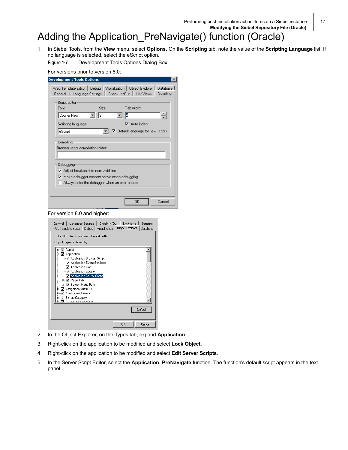Performing post-installation action items on a Siebel instance **Modifying the Siebel Repository File (Oracle)**

# <span id="page-16-0"></span>Adding the Application\_PreNavigate() function (Oracle)

1. In Siebel Tools, from the **View** menu, select **Options**. On the **Scripting** tab, note the value of the **Scripting Language** list. If no language is selected, select the eScript option.

**Figure 1-7** Development Tools Options Dialog Box

For versions prior to version 8.0:

| $\times$                                                                                                                                                                                                                                                                                                                                                                            |
|-------------------------------------------------------------------------------------------------------------------------------------------------------------------------------------------------------------------------------------------------------------------------------------------------------------------------------------------------------------------------------------|
| <b>Development Tools Options</b><br>Debug   Visualization   Object Explorer  <br>Web Template Editor<br>Database<br>Scripting<br>Check In/Out<br>Language Settings<br><b>List Views</b><br>General<br>Script editor<br>Tab width:<br>Font:<br>Size:<br>÷<br>Courier New<br>8<br>$\nabla$ Auto indent<br>Scripting language:<br>$\nabla$ Default language for new scripts<br>eScript |
| Compiling<br>Browser script compilation folder:                                                                                                                                                                                                                                                                                                                                     |
| Debugging<br>Adjust breakpoint to next valid line<br>↜<br>$\triangledown$ Make debugger window active when debugging<br>Always enter the debugger when an error occurs                                                                                                                                                                                                              |
| ОK<br>Cancel                                                                                                                                                                                                                                                                                                                                                                        |

For version 8.0 and higher:



- 2. In the Object Explorer, on the Types tab, expand **Application**.
- 3. Right-click on the application to be modified and select **Lock Object**.
- 4. Right-click on the application to be modified and select **Edit Server Scripts**.
- 5. In the Server Script Editor, select the **Application\_PreNavigate** function. The function's default script appears in the text panel.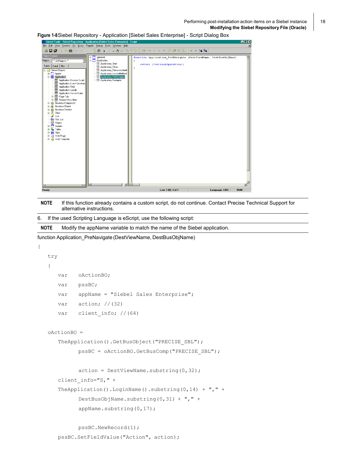<mark>2</mark> Siebel Tools - Siebel Repository - Appli s Enter  $|E|$   $\times$ File Edit View Screens Go Query Reports Debug Tools Window Help  $\overline{\mathbf{x}}$  $\boxed{\mathbb{E}\left[\left|\left|\frac{\mathbb{B}}{\mathbb{B}}\right|\left|\left|\mathbf{K}\right|\right|\right]\left|\left|\mathbf{K}\right|\right|\right]\mathbf{A}+\mathbf{M}\left|\left|\mathbf{D}\right|\mathbf{D}\right|\frac{\mathbf{A}}{2}\mathbf{I}\frac{\mathbf{B}}{2}\mathbf{I}\left|\left|\left|\mathbf{K}\right|\right|\right|\right]}$ 省日旬まも追いへ  $\begin{array}{lll} \circledast & \rightarrow & \pi & \pi \; \oplus \; \mathscr{C} \mathscr{C} \end{array}$ )<br>biect Explorer i (general)<br>I Application function Application\_PreNavigate (DestViewName, DestBusObjName) Project: F<sup>xx</sup> All Projects<sup>xx</sup>  $\overline{\mathbf{E}}$ Application\_Start return (ContinueOperation); Types Detail Flat Application\_Close<br>Application\_PreInvokeMet Siebel Objects **Carl Objects**<br> **Carl Objects**<br> **Carl Applestion**<br> **Carl Applestion**<br> **Carl Applestion Event Service**<br> **Carl Application Forms**<br> **Carl Application Forms**<br> **Carl Application Server Script<br>
Carl Big Screen Menu Item<br>
<b>Carl S** Application\_Premvokement<br>Application\_InvokeMethod<br>Application\_PreNavigate **H-12** Business Component  $\begin{tabular}{|c|c|} \hline \bf 6 & B. & \tt Duines & \tt Compon \\ \hline \end{tabular} \hline \begin{tabular}{|c|c|} \hline \bf 6 & B. & \tt Duines & \tt Dlolet \\ \hline \end{tabular} \hline \begin{tabular}{|c|c|} \hline \bf 6 & B. & \tt Duines & \tt Dlolet \\ \hline \end{tabular} \hline \begin{tabular}{|c|c|} \hline \bf 6 & B. & \tt Dlolet \\ \hline \end{tabular} \hline \begin{tabular}{|c|c|} \hline \bf 6 & B. & \tt Dlolet \\ \hline \end{tabular} \$  $\blacksquare$ Line 3 (0), Col 1 Language: ENU **NUM** Ready

**Figure 1-8**Siebel Repository - Application [Siebel Sales Enterprise] - Script Dialog Box

**NOTE** If this function already contains a custom script, do not continue. Contact Precise Technical Support for alternative instructions.

```
6. If the used Scripting Language is eScript, use the following script:
```
**NOTE** Modify the appName variable to match the name of the Siebel application.

function Application\_PreNavigate(DestViewName, DestBusObjName)

{

```
try
{
   var oActionBO;
   var pssBC;
   var appName = "Siebel Sales Enterprise";
   var \arctan: //(32)
   var client info; //(64)oActionBO = 
   TheApplication().GetBusObject("PRECISE SBL");
         pssBC = oActionBO.GetBusComp("PRECISE_SBL");
         action = DestViewName.substring(0, 32);client info="S," +
   TheApplication().LoginName().substring(0,14) + "," +
         DestBusObjName.substring(0,31) + "," +
         appName.substring(0,17);
```

```
pssBC.NewRecord(1);
```
pssBC.SetFieldValue("Action", action);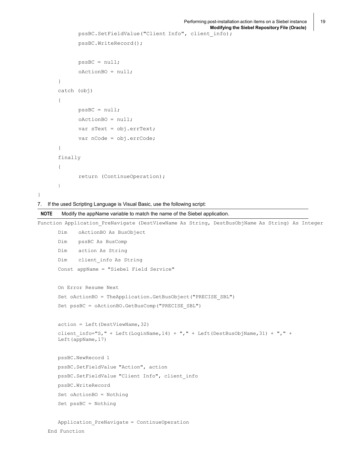```
pssBC.SetFieldValue("Client Info", client_info); 
      pssBC.WriteRecord();
      pssBC = null;
      oActionBO = null;
}
catch (obj)
{
      pssBC = null;
      oActionBO = null;
      var sText = obj.errText;
      var nCode = obj.errCode;
}
finally
{
      return (ContinueOperation);
}
```
7. If the used Scripting Language is Visual Basic, use the following script:

```
NOTE Modify the appName variable to match the name of the Siebel application.
Function Application PreNavigate (DestViewName As String, DestBusObjName As String) As Integer
       Dim oActionBO As BusObject
       Dim pssBC As BusComp
       Dim action As String
      Dim client_info As String
      Const appName = "Siebel Field Service"
      On Error Resume Next
      Set oActionBO = TheApplication.GetBusObject("PRECISE_SBL") 
       Set pssBC = oActionBO.GetBusComp("PRECISE_SBL")
      action = Left(DestViewName,32)
       client info="S, " + Left(LoginName, 14) + "," + Left(DestBusObjName,31) + "," +
      Left(appName,17)
      pssBC.NewRecord 1
      pssBC.SetFieldValue "Action", action 
      pssBC.SetFieldValue "Client Info", client_info 
      pssBC.WriteRecord
      Set oActionBO = Nothing
      Set pssBC = Nothing
      Application_PreNavigate = ContinueOperation
```

```
End Function
```
 $\overline{1}$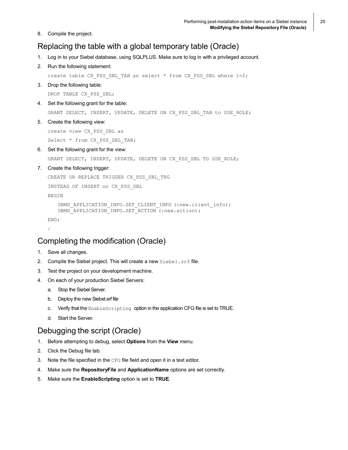8. Compile the project.

### <span id="page-19-0"></span>Replacing the table with a global temporary table (Oracle)

- 1. Log in to your Siebel database, using SQLPLUS. Make sure to log in with a privileged account.
- 2. Run the following statement:

create table CX\_PSS\_SBL\_TAB as select \* from CX\_PSS\_SBL where 1=2;

3. Drop the following table:

DROP TABLE CX PSS SBL;

4. Set the following grant for the table:

GRANT SELECT, INSERT, UPDATE, DELETE ON CX\_PSS\_SBL\_TAB to SSE\_ROLE;

5. Create the following view:

create view CX\_PSS\_SBL as

Select \* from CX PSS SBL TAB;

6. Set the following grant for the view:

GRANT SELECT, INSERT, UPDATE, DELETE ON CX PSS SBL TO SSE ROLE;

#### 7. Create the following trigger:

```
CREATE OR REPLACE TRIGGER CX_PSS_SBL_TRG 
INSTEAD OF INSERT on CX_PSS_SBL
BEGIN
   DBMS APPLICATION INFO.SET CLIENT INFO (:new.client info);
   DBMS APPLICATION INFO.SET ACTION (:new.action);
END;
/
```
#### <span id="page-19-1"></span>Completing the modification (Oracle)

- 1. Save all changes.
- 2. Compile the Siebel project. This will create a new Siebel.srf file.
- 3. Test the project on your development machine.
- 4. On each of your production Siebel Servers:
	- a. Stop the Siebel Server.
	- b. Deploy the new Siebel.srf file
	- c. Verify that the EnableScripting option in the application CFG file is set to TRUE.
	- d. Start the Server.

### <span id="page-19-2"></span>Debugging the script (Oracle)

- 1. Before attempting to debug, select **Options** from the **View** menu.
- 2. Click the Debug file tab.
- 3. Note the file specified in the CFG file field and open it in a text editor.
- 4. Make sure the **RepositoryFile** and **ApplicationName** options are set correctly.
- 5. Make sure the **EnableScripting** option is set to **TRUE**.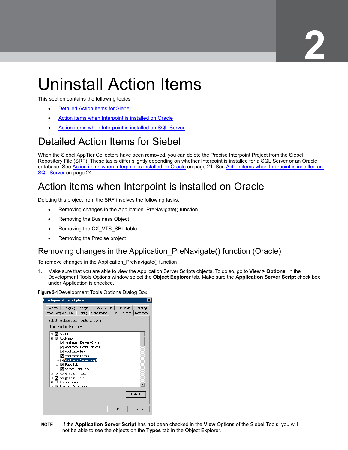# <span id="page-20-0"></span>Uninstall Action Items

This section contains the following topics

- [Detailed Action Items for](#page-20-1) Siebel
- Action items [when Interpoint is installed on Oracle](#page-20-2)
- Action items [when Interpoint is installed on SQL Server](#page-23-1)

# <span id="page-20-1"></span>Detailed Action Items for Siebel

When the Siebel AppTier Collectors have been removed, you can delete the Precise Interpoint Project from the Siebel Repository File (SRF). These tasks differ slightly depending on whether Interpoint is installed for a SQL Server or an Oracle database. See Action items [when Interpoint is installed on Oracle](#page-20-2) on pag[e 21.](#page-20-2) See Action items when Interpoint is installed on [SQL Server](#page-23-1) on pag[e 24.](#page-23-1)

## <span id="page-20-2"></span>Action items when Interpoint is installed on Oracle

Deleting this project from the SRF involves the following tasks:

- Removing changes in the Application\_PreNavigate() function
- Removing the Business Object
- Removing the CX\_VTS\_SBL table
- Removing the Precise project

### <span id="page-20-3"></span>Removing changes in the Application\_PreNavigate() function (Oracle)

To remove changes in the Application\_PreNavigate() function

1. Make sure that you are able to view the Application Server Scripts objects. To do so, go to **View > Options**. In the Development Tools Options window select the **Object Explorer** tab. Make sure the **Application Server Script** check box under Application is checked.

**Figure 2-1**Development Tools Options Dialog Box

| <b>Development Tools Options</b><br>$\times$                                                                                                                                                                                                                                                                                                                  |
|---------------------------------------------------------------------------------------------------------------------------------------------------------------------------------------------------------------------------------------------------------------------------------------------------------------------------------------------------------------|
| Language Settings   Check In/Out  <br><b>List Views</b><br>Scripting<br>General<br>Object Explorer<br>Web Template Editor   Debug   Visualization<br>Database<br>Select the objects you want to work with<br>Object Explorer Hierarchy:                                                                                                                       |
| Applet<br>Application<br>☑ Application Browser Script<br>√ Application Event Services<br>√ Application Find<br>Application Locale<br>Application Server Script<br>i⊪√√Page Tab<br><b>≢</b> — <mark>⊽</mark> Screen Menu Item<br>Assignment Attribute<br>☑<br>由<br>Assignment Criteria<br>由<br><b>Bitmap Category</b><br>由<br><b>b. Dr. Rusiness Component</b> |
| Default<br>OK<br>Cancel                                                                                                                                                                                                                                                                                                                                       |

**NOTE** If the **Application Server Script** has **not** been checked in the **View** Options of the Siebel Tools, you will not be able to see the objects on the **Types** tab in the Object Explorer.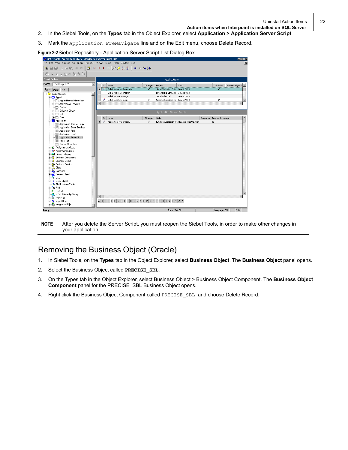- 2. In the Siebel Tools, on the **Types** tab in the Object Explorer, select **Application > Application Server Script**.
- 3. Mark the Application PreNavigate line and on the Edit menu, choose Delete Record.



**NOTE** After you delete the Server Script, you must reopen the Siebel Tools, in order to make other changes in your application.

#### <span id="page-21-0"></span>Removing the Business Object (Oracle)

- 1. In Siebel Tools, on the **Types** tab in the Object Explorer, select **Business Object**. The **Business Object** panel opens.
- 2. Select the Business Object called **PRECISE** SBL.
- 3. On the Types tab in the Object Explorer, select Business Object > Business Object Component. The **Business Object Component** panel for the PRECISE\_SBL Business Object opens.
- 4. Right click the Business Object Component called PRECISE SBL and choose Delete Record.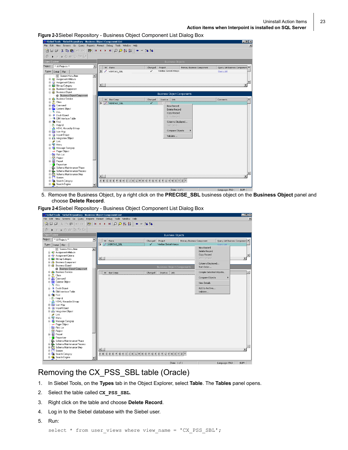

5. Remove the Business Object, by a right click on the **PRECISE\_SBL** business object on the **Business Object** panel and choose **Delete Record**.

**Figure 2-4**Siebel Repository - Business Object Component List Dialog Box

| $-10x$<br>& Siebel Tools - Siebel Repository - Business Object Component List                                                                                     |                                                                        |                  |                        |                 |                         |  |         |                                                                                                                                                                                                                                                                                                                   |                            |                              |                               |                 |
|-------------------------------------------------------------------------------------------------------------------------------------------------------------------|------------------------------------------------------------------------|------------------|------------------------|-----------------|-------------------------|--|---------|-------------------------------------------------------------------------------------------------------------------------------------------------------------------------------------------------------------------------------------------------------------------------------------------------------------------|----------------------------|------------------------------|-------------------------------|-----------------|
|                                                                                                                                                                   | File Edit View Screens Go Query Reports Format Debug Tools Window Help |                  |                        |                 |                         |  |         |                                                                                                                                                                                                                                                                                                                   |                            |                              |                               | $\vert x \vert$ |
| 省国司 ※臨扈 ○○  国 Ⅱ ◀ ▶ N  ○○剑김   ◆ → 26 %                                                                                                                            |                                                                        |                  |                        |                 |                         |  |         |                                                                                                                                                                                                                                                                                                                   |                            |                              |                               |                 |
| $\blacktriangleright$ $\blacksquare$ $\blacksquare$ $\blacksquare$ $\blacksquare$ $\blacksquare$ $\blacksquare$ $\blacksquare$ $\blacksquare$ $\blacksquare$<br>Ò |                                                                        |                  |                        |                 |                         |  |         |                                                                                                                                                                                                                                                                                                                   |                            |                              |                               |                 |
| Object Explorer                                                                                                                                                   |                                                                        |                  |                        |                 | <b>Business Objects</b> |  |         |                                                                                                                                                                                                                                                                                                                   |                            |                              |                               |                 |
| Project:                                                                                                                                                          | <sup>**</sup> All Projects <sup>**</sup>                               | 그                | w                      | Name            |                         |  | Changed | Project                                                                                                                                                                                                                                                                                                           | Primary Business Component |                              | Query List Business Component |                 |
|                                                                                                                                                                   | Types   Detail   Flat                                                  |                  |                        | > / VERITAS SBL |                         |  | v       | Veritas Siebel Interpo                                                                                                                                                                                                                                                                                            |                            |                              | Ouerw List                    |                 |
|                                                                                                                                                                   |                                                                        | $\blacktriangle$ |                        |                 |                         |  |         |                                                                                                                                                                                                                                                                                                                   |                            | New Record                   |                               |                 |
|                                                                                                                                                                   | <b>E R</b> Assignment Attribute                                        |                  |                        |                 |                         |  |         |                                                                                                                                                                                                                                                                                                                   |                            | Delete Record<br>Copy Record |                               |                 |
|                                                                                                                                                                   | Assignment Criteria                                                    |                  | $\left  \cdot \right $ |                 |                         |  |         |                                                                                                                                                                                                                                                                                                                   |                            | <b>Undo Record</b>           |                               |                 |
|                                                                                                                                                                   | E <b>&amp;</b> Bitmap Category<br><b>E-R</b> Business Component        |                  |                        |                 |                         |  |         |                                                                                                                                                                                                                                                                                                                   |                            |                              |                               |                 |
|                                                                                                                                                                   | 白磁 Business Object                                                     |                  |                        |                 |                         |  |         |                                                                                                                                                                                                                                                                                                                   |                            | Columns Displayed            |                               |                 |
|                                                                                                                                                                   | <b>Business Object Component</b>                                       |                  |                        |                 |                         |  |         | <b>Business Object Components</b>                                                                                                                                                                                                                                                                                 |                            | Sort Order                   |                               |                 |
|                                                                                                                                                                   | <b>El-Co</b> Business Service                                          |                  | w                      | <b>Bus Comp</b> |                         |  | Changed | Inactive<br>Link                                                                                                                                                                                                                                                                                                  |                            | Compile Selected Objects     |                               |                 |
|                                                                                                                                                                   | 由-- <mark>黒</mark> Class                                               |                  |                        |                 |                         |  |         |                                                                                                                                                                                                                                                                                                                   |                            | Compare Objects              |                               |                 |
|                                                                                                                                                                   | E <b>M</b> Command<br><b>E-R</b> Content Object                        |                  |                        |                 |                         |  |         |                                                                                                                                                                                                                                                                                                                   |                            |                              |                               |                 |
|                                                                                                                                                                   | $\vdash$ 0. DLL                                                        |                  |                        |                 |                         |  |         |                                                                                                                                                                                                                                                                                                                   |                            | <b>View Details</b>          |                               |                 |
|                                                                                                                                                                   | <b>E-D</b> Dock Object                                                 |                  |                        |                 |                         |  |         |                                                                                                                                                                                                                                                                                                                   |                            | Add to Archive               |                               |                 |
|                                                                                                                                                                   | —"है। EIM Interface Table                                              |                  |                        |                 |                         |  |         |                                                                                                                                                                                                                                                                                                                   |                            | Validate                     |                               |                 |
|                                                                                                                                                                   | E-On Find                                                              |                  |                        |                 |                         |  |         |                                                                                                                                                                                                                                                                                                                   |                            |                              |                               |                 |
|                                                                                                                                                                   | 2 Help Id                                                              |                  |                        |                 |                         |  |         |                                                                                                                                                                                                                                                                                                                   |                            |                              |                               |                 |
|                                                                                                                                                                   | -A HTML Hierarchy Bitmap<br>E <b>128</b> Icon Map                      |                  |                        |                 |                         |  |         |                                                                                                                                                                                                                                                                                                                   |                            |                              |                               |                 |
|                                                                                                                                                                   | <b>E-B</b> Import Object                                               |                  |                        |                 |                         |  |         |                                                                                                                                                                                                                                                                                                                   |                            |                              |                               |                 |
|                                                                                                                                                                   | 由 鱼 Integration Object                                                 |                  |                        |                 |                         |  |         |                                                                                                                                                                                                                                                                                                                   |                            |                              |                               |                 |
|                                                                                                                                                                   | $\mathscr{N}$ Link                                                     |                  |                        |                 |                         |  |         |                                                                                                                                                                                                                                                                                                                   |                            |                              |                               |                 |
|                                                                                                                                                                   | 由 平 Menu                                                               |                  |                        |                 |                         |  |         |                                                                                                                                                                                                                                                                                                                   |                            |                              |                               |                 |
|                                                                                                                                                                   | 由 图 Message Category                                                   |                  |                        |                 |                         |  |         |                                                                                                                                                                                                                                                                                                                   |                            |                              |                               |                 |
|                                                                                                                                                                   | (a) Pager Object                                                       |                  |                        |                 |                         |  |         |                                                                                                                                                                                                                                                                                                                   |                            |                              |                               |                 |
|                                                                                                                                                                   | <b>Fig.</b> Pick List<br><sup>o</sup> Project                          |                  |                        |                 |                         |  |         |                                                                                                                                                                                                                                                                                                                   |                            |                              |                               |                 |
|                                                                                                                                                                   | 由 Report                                                               |                  |                        |                 |                         |  |         |                                                                                                                                                                                                                                                                                                                   |                            |                              |                               |                 |
|                                                                                                                                                                   | Repository                                                             |                  |                        |                 |                         |  |         |                                                                                                                                                                                                                                                                                                                   |                            |                              |                               |                 |
|                                                                                                                                                                   | <b>B</b> <sub>c</sub> Schema Maintenance Phase                         |                  |                        |                 |                         |  |         |                                                                                                                                                                                                                                                                                                                   |                            |                              |                               |                 |
|                                                                                                                                                                   | <b>E. B.</b> Schema Maintenance Process                                |                  |                        |                 |                         |  |         |                                                                                                                                                                                                                                                                                                                   |                            |                              |                               |                 |
|                                                                                                                                                                   | 由 <sup>1</sup> Schema Maintenance Step                                 |                  | $\blacksquare$         |                 |                         |  |         |                                                                                                                                                                                                                                                                                                                   |                            |                              |                               |                 |
|                                                                                                                                                                   | E-T Screen                                                             |                  |                        |                 |                         |  |         | $A \text{ } B \text{ } C \text{ } D \text{ } E \text{ } F \text{ } G \text{ } H \text{ } I \text{ } J \text{ } K \text{ } L \text{ } M \text{ } N \text{ } O \text{ } P \text{ } Q \text{ } R \text{ } S \text{ } T \text{ } U \text{ } W \text{ } W \text{ } X \text{ } Y \text{ } Z \text{ } \overset{\ast}{*}$ |                            |                              |                               |                 |
|                                                                                                                                                                   | <b>E Big</b> Search Category<br>由 Search Engine                        |                  |                        |                 |                         |  |         |                                                                                                                                                                                                                                                                                                                   |                            |                              |                               |                 |
|                                                                                                                                                                   |                                                                        |                  |                        |                 |                         |  |         |                                                                                                                                                                                                                                                                                                                   |                            |                              |                               |                 |
|                                                                                                                                                                   |                                                                        |                  |                        |                 |                         |  |         | Item: 1 of 1                                                                                                                                                                                                                                                                                                      |                            |                              | Language: ENU                 | NUM             |

#### <span id="page-22-0"></span>Removing the CX\_PSS\_SBL table (Oracle)

- 1. In Siebel Tools, on the **Types** tab in the Object Explorer, select **Table**. The **Tables** panel opens.
- 2. Select the table called **CX\_PSS\_SBL**.
- 3. Right click on the table and choose **Delete Record**.
- 4. Log in to the Siebel database with the Siebel user.
- 5. Run: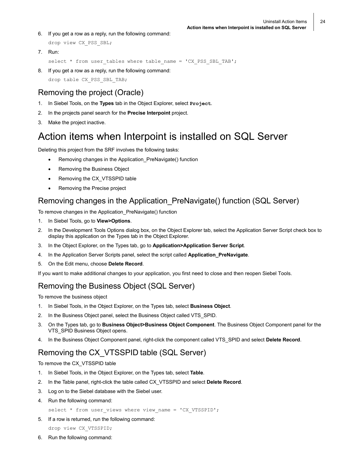- 6. If you get a row as a reply, run the following command: drop view CX\_PSS\_SBL;
- 7. Run:

```
select * from user tables where table name = 'CX PSS SBL TAB';
```
8. If you get a row as a reply, run the following command: drop table CX\_PSS\_SBL\_TAB;

### <span id="page-23-0"></span>Removing the project (Oracle)

- 1. In Siebel Tools, on the **Types** tab in the Object Explorer, select **Project**.
- 2. In the projects panel search for the **Precise Interpoint** project.
- 3. Make the project inactive.

## <span id="page-23-1"></span>Action items when Interpoint is installed on SQL Server

Deleting this project from the SRF involves the following tasks:

- Removing changes in the Application\_PreNavigate() function
- Removing the Business Object
- Removing the CX\_VTSSPID table
- Removing the Precise project

### <span id="page-23-2"></span>Removing changes in the Application\_PreNavigate() function (SQL Server)

To remove changes in the Application\_PreNavigate() function

- 1. In Siebel Tools, go to **View>Options**.
- 2. In the Development Tools Options dialog box, on the Object Explorer tab, select the Application Server Script check box to display this application on the Types tab in the Object Explorer.
- 3. In the Object Explorer, on the Types tab, go to **Application>Application Server Script**.
- 4. In the Application Server Scripts panel, select the script called **Application\_PreNavigate**.
- 5. On the Edit menu, choose **Delete Record**.

If you want to make additional changes to your application, you first need to close and then reopen Siebel Tools.

### <span id="page-23-3"></span>Removing the Business Object (SQL Server)

To remove the business object

- 1. In Siebel Tools, in the Object Explorer, on the Types tab, select **Business Object**.
- 2. In the Business Object panel, select the Business Object called VTS\_SPID.
- 3. On the Types tab, go to **Business Object>Business Object Component**. The Business Object Component panel for the VTS SPID Business Object opens.
- 4. In the Business Object Component panel, right-click the component called VTS\_SPID and select **Delete Record**.

## <span id="page-23-4"></span>Removing the CX\_VTSSPID table (SQL Server)

To remove the CX\_VTSSPID table

- 1. In Siebel Tools, in the Object Explorer, on the Types tab, select **Table**.
- 2. In the Table panel, right-click the table called CX\_VTSSPID and select **Delete Record**.
- 3. Log on to the Siebel database with the Siebel user.
- 4. Run the following command:

```
select * from user views where view name = 'CX VTSSPID';
```
5. If a row is returned, run the following command:

```
drop view CX_VTSSPID;
```
6. Run the following command: